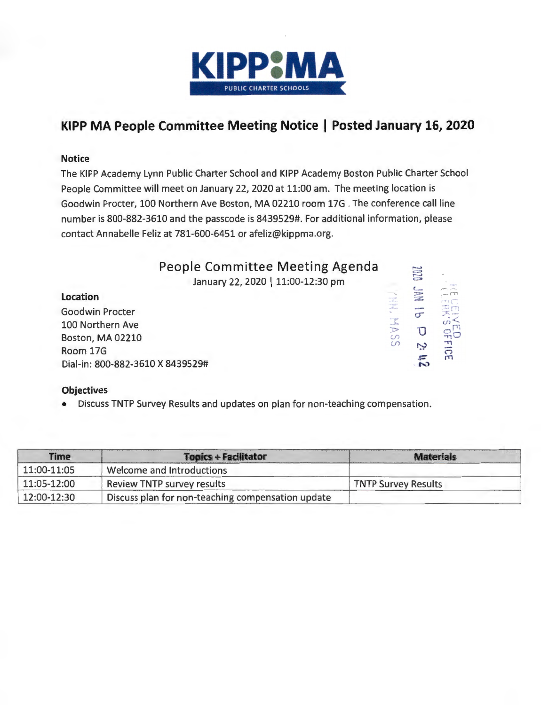

### **KIPP MA People Committee Meeting Notice I Posted January 16, 2020**

### Notice

The KIPP Academy Lynn Public Charter School and KIPP Academy Boston Public Charter School People Committee will meet on January 22, 2020 at 11:00 am. The meeting location is Goodwin Procter, 100 Northern Ave Boston, MA 02210 room 17G . The conference call line number is 800-882-3610 and the passcode is 8439529#. For additional information, please contact Annabelle Feliz at 781-600-6451 or afeliz@kippma.org.

| People Committee Meeting Agenda<br>January 22, 2020   11:00-12:30 pm |                               | 1070 |               |
|----------------------------------------------------------------------|-------------------------------|------|---------------|
| <b>Location</b>                                                      |                               | H    |               |
| <b>Goodwin Procter</b>                                               |                               |      | 受四            |
| 100 Northern Ave                                                     | a regge<br>$\frac{1}{2}$<br>P |      | $\omega \leq$ |
| <b>Boston, MA 02210</b>                                              | S<br>S                        |      | ಇರ            |
| Room 17G                                                             |                               | Z    | FICE          |
| Dial-in: 800-882-3610 X 8439529#                                     |                               |      |               |

**Objectives** • Discuss TNTP Survey Results and updates on plan for non-teaching compensation.

| Time        | <b>Topics + Facilitator</b>                       | <b>Materials</b>           |
|-------------|---------------------------------------------------|----------------------------|
| 11:00-11:05 | Welcome and Introductions                         |                            |
| 11:05-12:00 | Review TNTP survey results                        | <b>TNTP Survey Results</b> |
| 12:00-12:30 | Discuss plan for non-teaching compensation update |                            |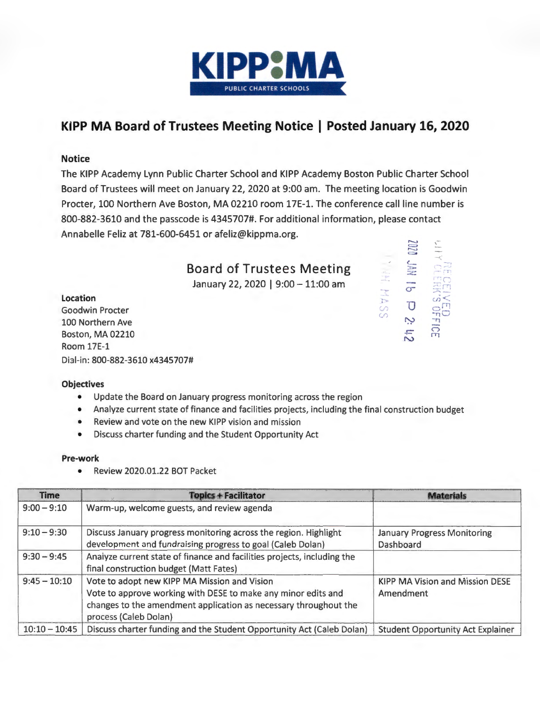

### **KIPP MA Board of Trustees Meeting Notice I Posted January 16, 2020**

### Notice

The KIPP Academy Lynn Public Charter School and KIPP Academy Boston Public Charter School Board of Trustees will meet on January 22, 2020 at 9:00 am. The meeting location is Goodwin Procter, 100 Northern Ave Boston, MA 02210 room 17E-1. The conference call line number is 800-882-3610 and the passcode is 4345707#. For additional information, please contact Annabelle Feliz at 781-600-6451 or afeliz@kippma.org.

### Board of Trustees Meeting

January 22, 2020 | 9:00 - 11:00 am

### Location

Goodwin Procter 100 Northern Ave Boston, MA 02210 Room 17E-1 Dial-in: 800-882-3610 x4345707#



### **Objectives**

- Update the Board on January progress monitoring across the region
- Analyze current state of finance and facilities projects, including the final construction budget
- Review and vote on the new KIPP vision and mission
- Discuss charter funding and the Student Opportunity Act

### Pre-work

• Review 2020.01.22 BOT Packet

| <b>Time</b>     | <b>Topics + Facilitator</b>                                                                                                                                                                                | <b>Materials</b>                                    |
|-----------------|------------------------------------------------------------------------------------------------------------------------------------------------------------------------------------------------------------|-----------------------------------------------------|
| $9:00 - 9:10$   | Warm-up, welcome guests, and review agenda                                                                                                                                                                 |                                                     |
| $9:10 - 9:30$   | Discuss January progress monitoring across the region. Highlight<br>development and fundraising progress to goal (Caleb Dolan)                                                                             | <b>January Progress Monitoring</b><br>Dashboard     |
| $9:30 - 9:45$   | Analyze current state of finance and facilities projects, including the<br>final construction budget (Matt Fates)                                                                                          |                                                     |
| $9:45 - 10:10$  | Vote to adopt new KIPP MA Mission and Vision<br>Vote to approve working with DESE to make any minor edits and<br>changes to the amendment application as necessary throughout the<br>process (Caleb Dolan) | <b>KIPP MA Vision and Mission DESE</b><br>Amendment |
| $10:10 - 10:45$ | Discuss charter funding and the Student Opportunity Act (Caleb Dolan)                                                                                                                                      | <b>Student Opportunity Act Explainer</b>            |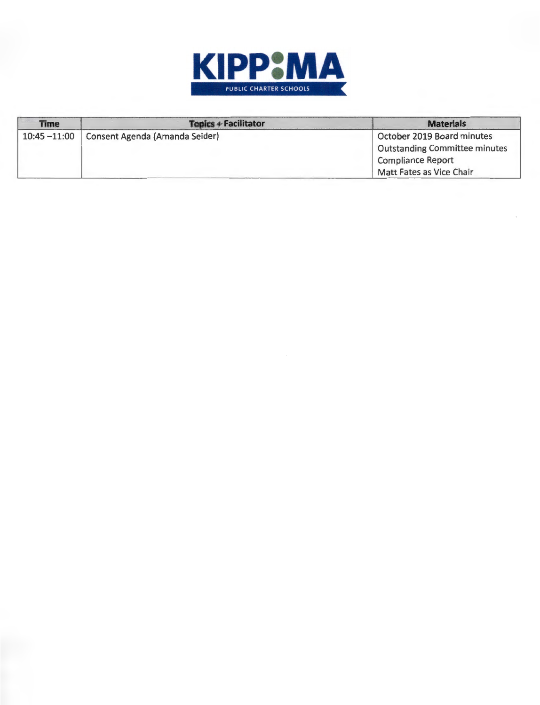

| <b>Time</b>                                       | Topics + Facilitator                 | <b>Materials</b>           |
|---------------------------------------------------|--------------------------------------|----------------------------|
| Consent Agenda (Amanda Seider)<br>$10:45 - 11:00$ |                                      | October 2019 Board minutes |
|                                                   | <b>Outstanding Committee minutes</b> |                            |
|                                                   |                                      | <b>Compliance Report</b>   |
|                                                   |                                      | Matt Fates as Vice Chair   |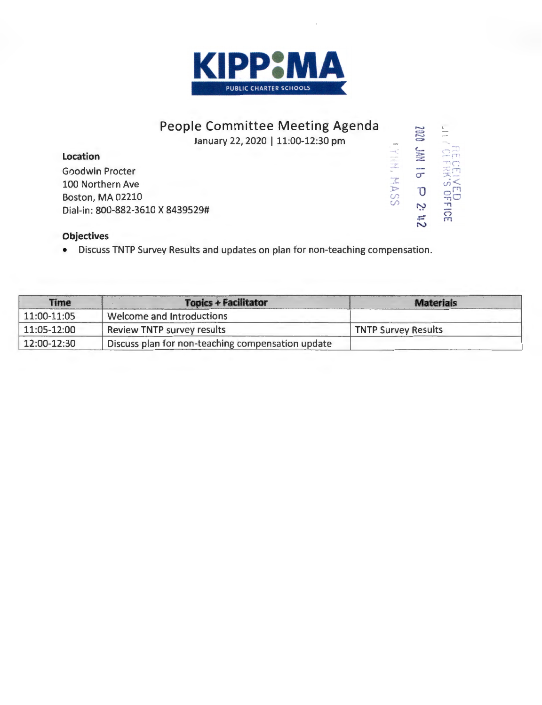

## People Committee Meeting Agenda January 22, 2020 | 11:00-12:30 pm **LYHH, MASS**

### Location

**Goodwin Procter** 100 Northern Ave Boston, MA 02210 Dial-in: 800-882-3610 X 8439529#

# NI / CLERKS OFFICE 2n 2 d 91 NVC 0202

### **Objectives**

Discuss TNTP Survey Results and updates on plan for non-teaching compensation.  $\bullet$ 

| <b>Time</b> | <b>Topics + Facilitator</b>                       | <b>Materials</b>           |
|-------------|---------------------------------------------------|----------------------------|
| 11:00-11:05 | Welcome and Introductions                         |                            |
| 11:05-12:00 | Review TNTP survey results                        | <b>TNTP Survey Results</b> |
| 12:00-12:30 | Discuss plan for non-teaching compensation update |                            |